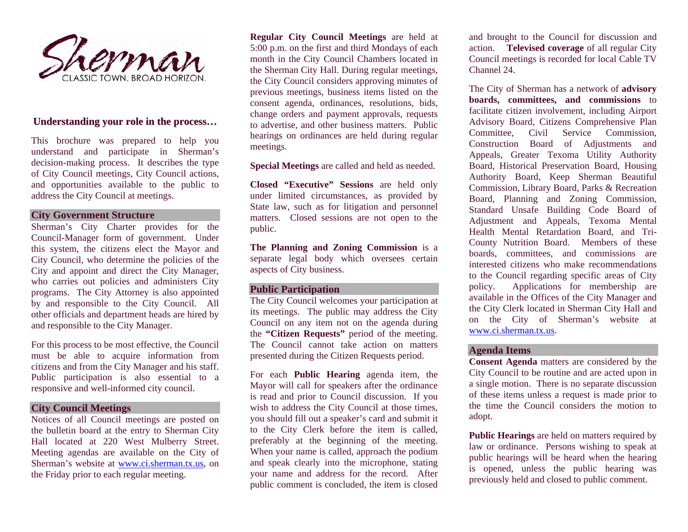

#### Understanding your role in the process…

This brochure was prepared to help you understand and participate in Sherman's decision-making process. It describes the type of City Council meetings, City Council actions, and opportunities available to the public to address the City Council at meetings.

#### **City Government Structure**

Sherman's City Charter provides for the Council-Manager form of government. Under this system, the citizens elect the Mayor and City Council, who determine the policies of the City and appoint and direct the City Manager, who carries out policies and administers City programs. The City Attorney is also appointed by and responsible to the City Council. All other officials and department heads are hired by and responsible to the City Manager.

For this process to be most effective, the Council must be able to acquire information from citizens and from the City Manager and his staff. Public participation is also essential to a responsive and well-informed city council.

#### **City Council Meetings**

Notices of all Council meetings are posted on the bulletin board at the entry to Sherman City Hall located at 220 West Mulberry Street. Meeting agendas are available on the City of Sherman's website at www.ci.sherman.tx.us, on the Friday prior to each regular meeting.

**Regular City Council Meetings** are held at 5:00 p.m. on the first and third Mondays of each month in the City Council Chambers located in the Sherman City Hall. During regular meetings, the City Council considers approving minutes of previous meetings, business items listed on the consent agenda, ordinances, resolutions, bids, change orders and payment approvals, requests to advertise, and other business matters. Public hearings on ordinances are held during regular meetings.

**Special Meetings** are called and held as needed.

**Closed "Executive" Sessions** are held only under limited circumstances, as provided by State law, such as for litigation and personnel matters. Closed sessions are not open to the public.

**The Planning and Zoning Commission** is a separate legal body which oversees certain aspects of City business.

## **Public Participation**

The City Council welcomes your participation at its meetings. The public may address the City Council on any item not on the agenda during the **"Citizen Requests"** period of the meeting. The Council cannot take action on matters presented during the Citizen Requests period.

For each **Public Hearing** agenda item, the Mayor will call for speakers after the ordinance is read and prior to Council discussion. If you wish to address the City Council at those times, you should fill out a speaker's card and submit it to the City Clerk before the item is called, preferably at the beginning of the meeting. When your name is called, approach the podium and speak clearly into the microphone, stating your name and address for the record. After public comment is concluded, the item is closed

and brought to the Council for discussion and action. **Televised coverage** of all regular City Council meetings is recorded for local Cable TV Channel 24.

The City of Sherman has a network of **advisory boards, committees, and commissions** to facilitate citizen involvement, including Airport Advisory Board, Citizens Comprehensive Plan Committee, Civil Service Commission, Construction Board of Adjustments and Appeals, Greater Texoma Utility Authority Board, Historical Preservation Board, Housing Authority Board, Keep Sherman Beautiful Commission, Library Board, Parks & Recreation Board, Planning and Zoning Commission, Standard Unsafe Building Code Board of Adjustment and Appeals, Texoma Mental Health Mental Retardation Board, and Tri-County Nutrition Board. Members of these boards, committees, and commissions are interested citizens who make recommendations to the Council regarding specific areas of City policy. Applications for membership are available in the Offices of the City Manager and the City Clerk located in Sherman City Hall and on the City of Sherman's website at www.ci.sherman.tx.us.

#### **Agenda Items**

**Consent Agenda** matters are considered by the City Council to be routine and are acted upon in a single motion. There is no separate discussion of these items unless a request is made prior to the time the Council considers the motion to adopt.

**Public Hearings** are held on matters required by law or ordinance. Persons wishing to speak at public hearings will be heard when the hearing is opened, unless the public hearing was previously held and closed to public comment.